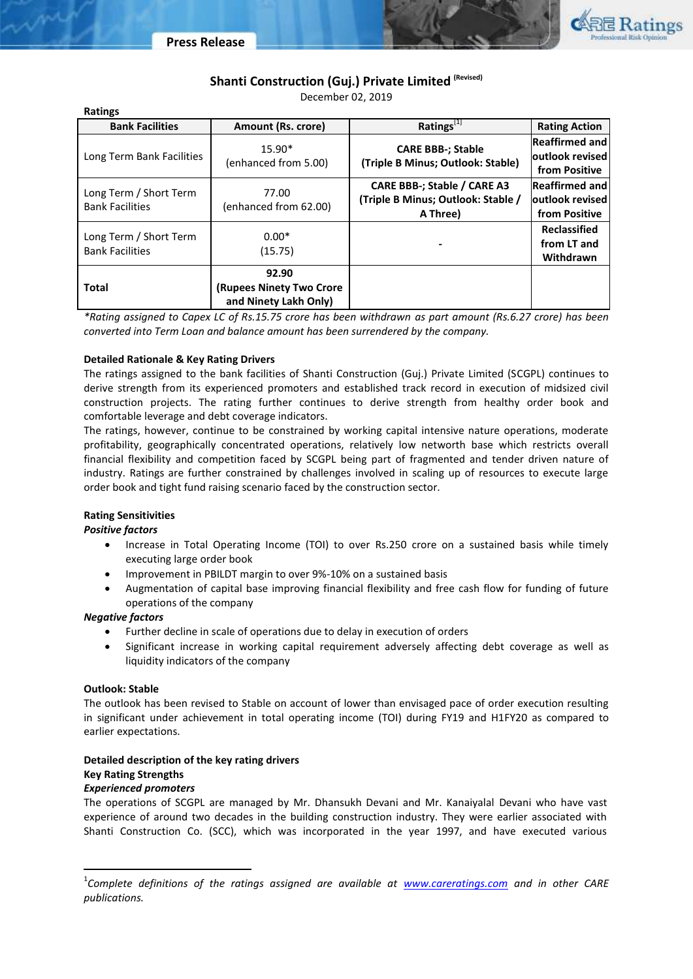



# **Shanti Construction (Guj.) Private Limited (Revised)**

December 02, 2019

| <b>Ratings</b>                                   |                                                            |                                                                                      |                                                            |  |
|--------------------------------------------------|------------------------------------------------------------|--------------------------------------------------------------------------------------|------------------------------------------------------------|--|
| <b>Bank Facilities</b>                           | Amount (Rs. crore)                                         | Ratings[1]                                                                           | <b>Rating Action</b>                                       |  |
| Long Term Bank Facilities                        | $15.90*$<br>(enhanced from 5.00)                           | <b>CARE BBB-; Stable</b><br>(Triple B Minus; Outlook: Stable)                        | <b>Reaffirmed and</b><br>loutlook revised<br>from Positive |  |
| Long Term / Short Term<br><b>Bank Facilities</b> | 77.00<br>(enhanced from 62.00)                             | <b>CARE BBB-; Stable / CARE A3</b><br>(Triple B Minus; Outlook: Stable /<br>A Three) | Reaffirmed and<br>loutlook revised<br>from Positive        |  |
| Long Term / Short Term<br><b>Bank Facilities</b> | $0.00*$<br>(15.75)                                         |                                                                                      | <b>Reclassified</b><br>from LT and<br>Withdrawn            |  |
| <b>Total</b>                                     | 92.90<br>(Rupees Ninety Two Crore<br>and Ninety Lakh Only) |                                                                                      |                                                            |  |

*\*Rating assigned to Capex LC of Rs.15.75 crore has been withdrawn as part amount (Rs.6.27 crore) has been converted into Term Loan and balance amount has been surrendered by the company.* 

## **Detailed Rationale & Key Rating Drivers**

The ratings assigned to the bank facilities of Shanti Construction (Guj.) Private Limited (SCGPL) continues to derive strength from its experienced promoters and established track record in execution of midsized civil construction projects. The rating further continues to derive strength from healthy order book and comfortable leverage and debt coverage indicators.

The ratings, however, continue to be constrained by working capital intensive nature operations, moderate profitability, geographically concentrated operations, relatively low networth base which restricts overall financial flexibility and competition faced by SCGPL being part of fragmented and tender driven nature of industry. Ratings are further constrained by challenges involved in scaling up of resources to execute large order book and tight fund raising scenario faced by the construction sector.

# **Rating Sensitivities**

## *Positive factors*

- Increase in Total Operating Income (TOI) to over Rs.250 crore on a sustained basis while timely executing large order book
- Improvement in PBILDT margin to over 9%-10% on a sustained basis
- Augmentation of capital base improving financial flexibility and free cash flow for funding of future operations of the company

## *Negative factors*

- Further decline in scale of operations due to delay in execution of orders
- Significant increase in working capital requirement adversely affecting debt coverage as well as liquidity indicators of the company

## **Outlook: Stable**

The outlook has been revised to Stable on account of lower than envisaged pace of order execution resulting in significant under achievement in total operating income (TOI) during FY19 and H1FY20 as compared to earlier expectations.

# **Detailed description of the key rating drivers**

# **Key Rating Strengths**

# *Experienced promoters*

The operations of SCGPL are managed by Mr. Dhansukh Devani and Mr. Kanaiyalal Devani who have vast experience of around two decades in the building construction industry. They were earlier associated with Shanti Construction Co. (SCC), which was incorporated in the year 1997, and have executed various

<sup>&</sup>lt;sup>1</sup>Complete definitions of the ratings assigned are available at **<u>[www.careratings.com](http://www.careratings.com/)</u>** and in other CARE *publications.*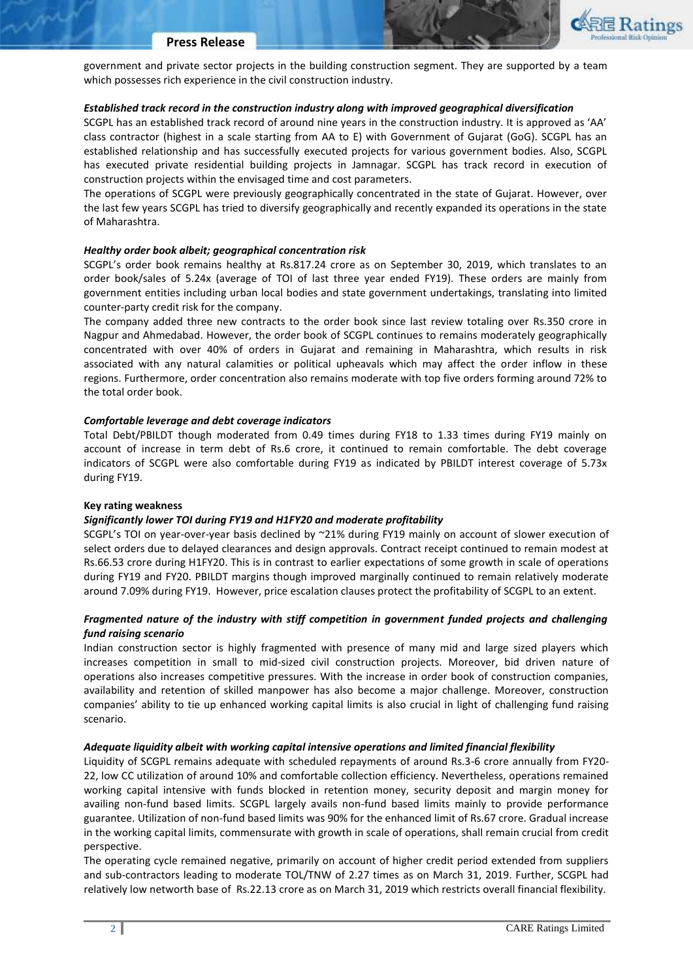

### **Press Release**

government and private sector projects in the building construction segment. They are supported by a team which possesses rich experience in the civil construction industry.

## *Established track record in the construction industry along with improved geographical diversification*

SCGPL has an established track record of around nine years in the construction industry. It is approved as 'AA' class contractor (highest in a scale starting from AA to E) with Government of Gujarat (GoG). SCGPL has an established relationship and has successfully executed projects for various government bodies. Also, SCGPL has executed private residential building projects in Jamnagar. SCGPL has track record in execution of construction projects within the envisaged time and cost parameters.

The operations of SCGPL were previously geographically concentrated in the state of Gujarat. However, over the last few years SCGPL has tried to diversify geographically and recently expanded its operations in the state of Maharashtra.

## *Healthy order book albeit; geographical concentration risk*

SCGPL's order book remains healthy at Rs.817.24 crore as on September 30, 2019, which translates to an order book/sales of 5.24x (average of TOI of last three year ended FY19). These orders are mainly from government entities including urban local bodies and state government undertakings, translating into limited counter-party credit risk for the company.

The company added three new contracts to the order book since last review totaling over Rs.350 crore in Nagpur and Ahmedabad. However, the order book of SCGPL continues to remains moderately geographically concentrated with over 40% of orders in Gujarat and remaining in Maharashtra, which results in risk associated with any natural calamities or political upheavals which may affect the order inflow in these regions. Furthermore, order concentration also remains moderate with top five orders forming around 72% to the total order book.

### *Comfortable leverage and debt coverage indicators*

Total Debt/PBILDT though moderated from 0.49 times during FY18 to 1.33 times during FY19 mainly on account of increase in term debt of Rs.6 crore, it continued to remain comfortable. The debt coverage indicators of SCGPL were also comfortable during FY19 as indicated by PBILDT interest coverage of 5.73x during FY19.

#### **Key rating weakness**

## *Significantly lower TOI during FY19 and H1FY20 and moderate profitability*

SCGPL's TOI on year-over-year basis declined by ~21% during FY19 mainly on account of slower execution of select orders due to delayed clearances and design approvals. Contract receipt continued to remain modest at Rs.66.53 crore during H1FY20. This is in contrast to earlier expectations of some growth in scale of operations during FY19 and FY20. PBILDT margins though improved marginally continued to remain relatively moderate around 7.09% during FY19. However, price escalation clauses protect the profitability of SCGPL to an extent.

# *Fragmented nature of the industry with stiff competition in government funded projects and challenging fund raising scenario*

Indian construction sector is highly fragmented with presence of many mid and large sized players which increases competition in small to mid-sized civil construction projects. Moreover, bid driven nature of operations also increases competitive pressures. With the increase in order book of construction companies, availability and retention of skilled manpower has also become a major challenge. Moreover, construction companies' ability to tie up enhanced working capital limits is also crucial in light of challenging fund raising scenario.

#### *Adequate liquidity albeit with working capital intensive operations and limited financial flexibility*

Liquidity of SCGPL remains adequate with scheduled repayments of around Rs.3-6 crore annually from FY20- 22, low CC utilization of around 10% and comfortable collection efficiency. Nevertheless, operations remained working capital intensive with funds blocked in retention money, security deposit and margin money for availing non-fund based limits. SCGPL largely avails non-fund based limits mainly to provide performance guarantee. Utilization of non-fund based limits was 90% for the enhanced limit of Rs.67 crore. Gradual increase in the working capital limits, commensurate with growth in scale of operations, shall remain crucial from credit perspective.

The operating cycle remained negative, primarily on account of higher credit period extended from suppliers and sub-contractors leading to moderate TOL/TNW of 2.27 times as on March 31, 2019. Further, SCGPL had relatively low networth base of Rs.22.13 crore as on March 31, 2019 which restricts overall financial flexibility.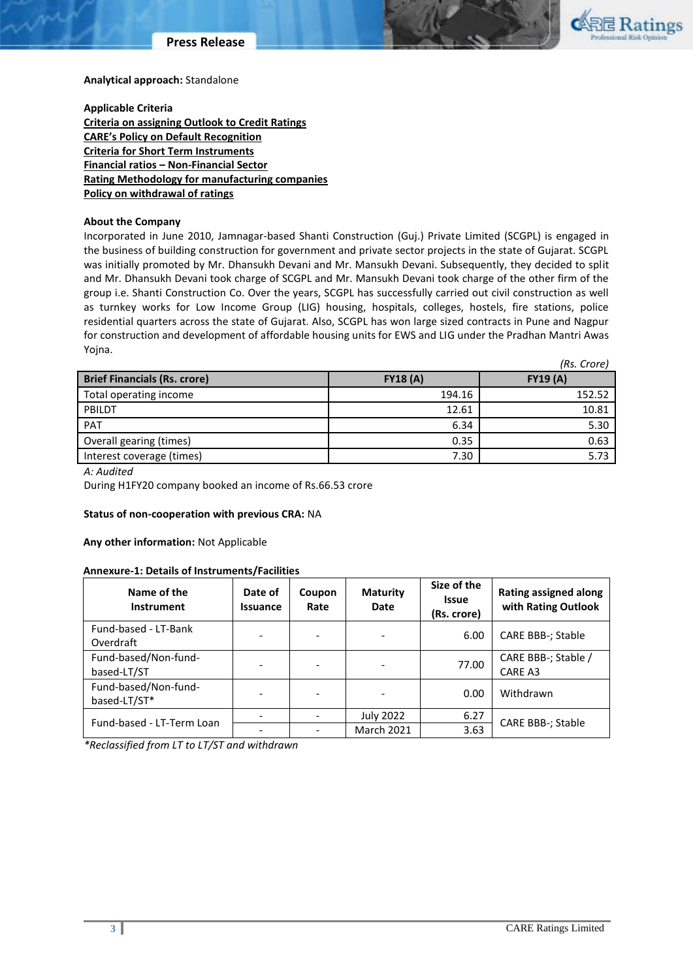



**Analytical approach:** Standalone

**Applicable Criteria [Criteria on assigning Outlook to Credit Ratings](http://www.careratings.com/upload/NewsFiles/GetRated/Outlook%20Criteria.pdf) [CARE's Policy on Default R](http://www.careratings.com/pdf/resources/CAREPolicyonDefaultRecognition.pdf)ecognition [Criteria for Short Term Instruments](http://www.careratings.com/upload/NewsFiles/GetRated/Short%20Term%20Instruments.pdf) Financial ratios – [Non-Financial Sector](http://www.careratings.com/pdf/resources/FinancialratiosNonFinancialSector.pdf) [Rating Methodology for manufacturing companies](http://www.careratings.com/upload/NewsFiles/GetRated/Rating%20Methodology%20-%20Manufacturing%20Companies_16Sept2019.pdf) [Policy on withdrawal of ratings](mailto:http://www.careratings.com/pdf/resources/CARE)**

## **About the Company**

Incorporated in June 2010, Jamnagar-based Shanti Construction (Guj.) Private Limited (SCGPL) is engaged in the business of building construction for government and private sector projects in the state of Gujarat. SCGPL was initially promoted by Mr. Dhansukh Devani and Mr. Mansukh Devani. Subsequently, they decided to split and Mr. Dhansukh Devani took charge of SCGPL and Mr. Mansukh Devani took charge of the other firm of the group i.e. Shanti Construction Co. Over the years, SCGPL has successfully carried out civil construction as well as turnkey works for Low Income Group (LIG) housing, hospitals, colleges, hostels, fire stations, police residential quarters across the state of Gujarat. Also, SCGPL has won large sized contracts in Pune and Nagpur for construction and development of affordable housing units for EWS and LIG under the Pradhan Mantri Awas Yojna. *(Rs. Crore)*

|                 | (ns. UUE) |
|-----------------|-----------|
| <b>FY18 (A)</b> | FY19(A)   |
| 194.16          | 152.52    |
| 12.61           | 10.81     |
| 6.34            | 5.30      |
| 0.35            | 0.63      |
| 7.30            | 5.73      |
|                 |           |

*A: Audited*

During H1FY20 company booked an income of Rs.66.53 crore

## **Status of non-cooperation with previous CRA:** NA

## **Any other information:** Not Applicable

### **Annexure-1: Details of Instruments/Facilities**

| Name of the<br><b>Instrument</b>     | Date of<br><b>Issuance</b> | Coupon<br>Rate           | <b>Maturity</b><br>Date  | Size of the<br><b>Issue</b><br>(Rs. crore) | <b>Rating assigned along</b><br>with Rating Outlook |
|--------------------------------------|----------------------------|--------------------------|--------------------------|--------------------------------------------|-----------------------------------------------------|
| Fund-based - LT-Bank<br>Overdraft    |                            |                          | $\overline{\phantom{a}}$ | 6.00                                       | CARE BBB-; Stable                                   |
| Fund-based/Non-fund-<br>based-LT/ST  |                            | $\overline{\phantom{0}}$ | $\overline{a}$           | 77.00                                      | CARE BBB-; Stable /<br>CARE A3                      |
| Fund-based/Non-fund-<br>based-LT/ST* |                            |                          | $\overline{a}$           | 0.00                                       | Withdrawn                                           |
| Fund-based - LT-Term Loan            |                            |                          | <b>July 2022</b>         | 6.27                                       | <b>CARE BBB-; Stable</b>                            |
|                                      |                            |                          | <b>March 2021</b>        | 3.63                                       |                                                     |

*\*Reclassified from LT to LT/ST and withdrawn*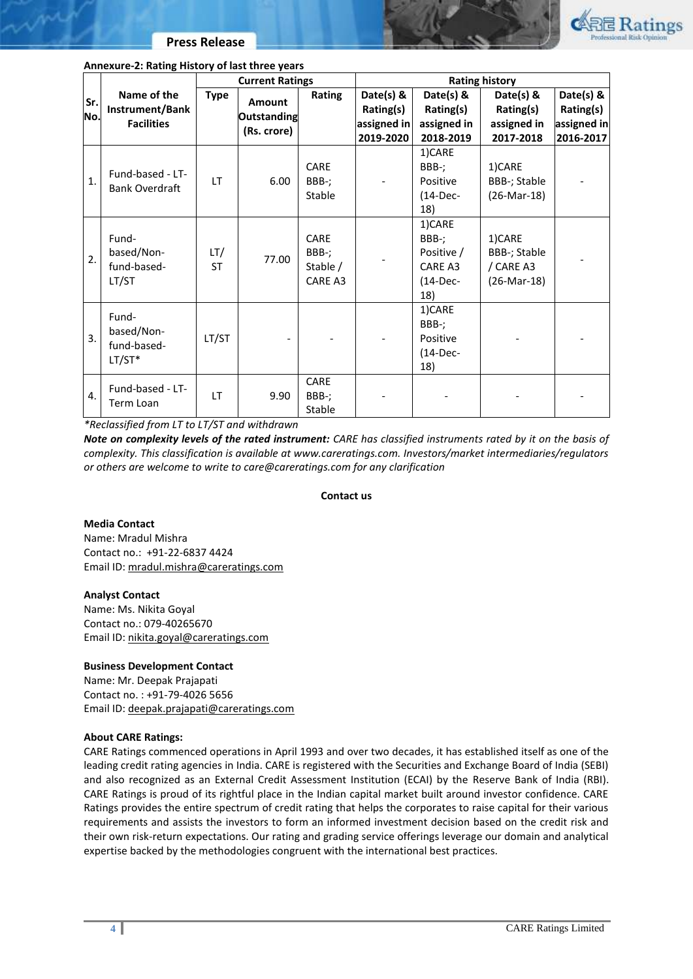

## **Annexure-2: Rating History of last three years**

| Sr.<br>No. | Name of the<br>Instrument/Bank<br><b>Facilities</b> | <b>Current Ratings</b> |                                             | <b>Rating history</b>                |                                       |                                                               |                                                    |                                       |
|------------|-----------------------------------------------------|------------------------|---------------------------------------------|--------------------------------------|---------------------------------------|---------------------------------------------------------------|----------------------------------------------------|---------------------------------------|
|            |                                                     | <b>Type</b>            | <b>Amount</b><br>Outstanding<br>(Rs. crore) | Rating                               | Date(s) &                             | Date(s) &                                                     | Date(s) &                                          | Date(s) &                             |
|            |                                                     |                        |                                             |                                      | Rating(s)<br>assigned in<br>2019-2020 | Rating(s)<br>assigned in<br>2018-2019                         | Rating(s)<br>assigned in<br>2017-2018              | Rating(s)<br>assigned in<br>2016-2017 |
| 1.         | Fund-based - LT-<br><b>Bank Overdraft</b>           | <b>LT</b>              | 6.00                                        | <b>CARE</b><br>BBB-;<br>Stable       |                                       | 1)CARE<br>BBB-;<br>Positive<br>$(14-Dec-$<br>18)              | 1)CARE<br>BBB-; Stable<br>$(26-Mar-18)$            |                                       |
| 2.         | Fund-<br>based/Non-<br>fund-based-<br>LT/ST         | LT/<br><b>ST</b>       | 77.00                                       | CARE<br>BBB-;<br>Stable /<br>CARE A3 |                                       | 1)CARE<br>BBB-;<br>Positive /<br>CARE A3<br>$(14-Dec-$<br>18) | 1)CARE<br>BBB-; Stable<br>/ CARE A3<br>(26-Mar-18) |                                       |
| 3.         | Fund-<br>based/Non-<br>fund-based-<br>$LT/ST*$      | LT/ST                  |                                             |                                      |                                       | 1)CARE<br>BBB-;<br>Positive<br>$(14-Dec-$<br>18)              |                                                    |                                       |
| 4.         | Fund-based - LT-<br>Term Loan                       | <b>LT</b>              | 9.90                                        | CARE<br>BBB-;<br>Stable              |                                       |                                                               |                                                    |                                       |

*\*Reclassified from LT to LT/ST and withdrawn*

*Note on complexity levels of the rated instrument: CARE has classified instruments rated by it on the basis of complexity. This classification is available at www.careratings.com. Investors/market intermediaries/regulators or others are welcome to write to care@careratings.com for any clarification*

## **Contact us**

## **Media Contact**

Name: Mradul Mishra Contact no.: +91-22-6837 4424 Email ID: [mradul.mishra@careratings.com](file:///C:/Users/nikita.goyal/AppData/Local/Microsoft/Windows/INetCache/Content.Outlook/GOEOKRQ6/mradul.mishra@careratings.com)

## **Analyst Contact**

Name: Ms. Nikita Goyal Contact no.: 079-40265670 Email ID: [nikita.goyal@careratings.com](file:///C:/Users/rilpa.trivedi/AppData/Local/Microsoft/Windows/INetCache/Content.Outlook/99N7FEK3/nikita.goyal@careratings.com)

## **Business Development Contact**

Name: Mr. Deepak Prajapati Contact no. : +91-79-4026 5656 Email ID: [deepak.prajapati@careratings.com](mailto:deepak.prajapati@careratings.com)

## **About CARE Ratings:**

CARE Ratings commenced operations in April 1993 and over two decades, it has established itself as one of the leading credit rating agencies in India. CARE is registered with the Securities and Exchange Board of India (SEBI) and also recognized as an External Credit Assessment Institution (ECAI) by the Reserve Bank of India (RBI). CARE Ratings is proud of its rightful place in the Indian capital market built around investor confidence. CARE Ratings provides the entire spectrum of credit rating that helps the corporates to raise capital for their various requirements and assists the investors to form an informed investment decision based on the credit risk and their own risk-return expectations. Our rating and grading service offerings leverage our domain and analytical expertise backed by the methodologies congruent with the international best practices.